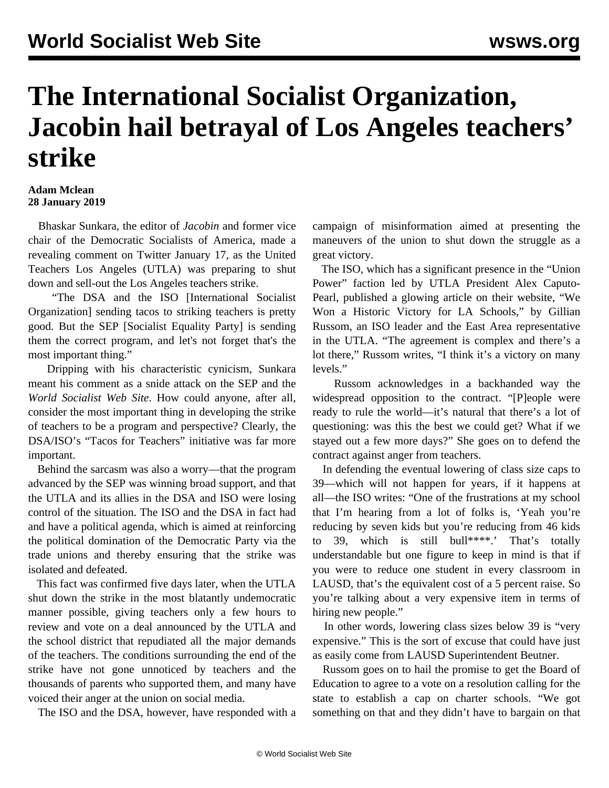## **The International Socialist Organization, Jacobin hail betrayal of Los Angeles teachers' strike**

## **Adam Mclean 28 January 2019**

 Bhaskar Sunkara, the editor of *Jacobin* and former vice chair of the Democratic Socialists of America, made a revealing comment on Twitter January 17, as the United Teachers Los Angeles (UTLA) was preparing to shut down and sell-out the Los Angeles teachers strike.

 "The DSA and the ISO [International Socialist Organization] sending tacos to striking teachers is pretty good. But the SEP [Socialist Equality Party] is sending them the correct program, and let's not forget that's the most important thing."

 Dripping with his characteristic cynicism, Sunkara meant his comment as a snide attack on the SEP and the *World Socialist Web Site*. How could anyone, after all, consider the most important thing in developing the strike of teachers to be a program and perspective? Clearly, the DSA/ISO's "Tacos for Teachers" initiative was far more important.

 Behind the sarcasm was also a worry—that the program advanced by the SEP was winning broad support, and that the UTLA and its allies in the DSA and ISO were losing control of the situation. The ISO and the DSA in fact had and have a political agenda, which is aimed at reinforcing the political domination of the Democratic Party via the trade unions and thereby ensuring that the strike was isolated and defeated.

 This fact was confirmed five days later, when the UTLA shut down the strike in the most blatantly undemocratic manner possible, giving teachers only a few hours to review and vote on a deal announced by the UTLA and the school district that repudiated all the major demands of the teachers. The conditions surrounding the end of the strike have not gone unnoticed by teachers and the thousands of parents who supported them, and many have [voiced](/en/articles/2019/01/25/losa-j25.html) their anger at the union on social media.

The ISO and the DSA, however, have responded with a

campaign of misinformation aimed at presenting the maneuvers of the union to shut down the struggle as a great victory.

 The ISO, which has a significant presence in the "Union Power" faction led by UTLA President Alex Caputo-Pearl, published a glowing article on their website, "We Won a Historic Victory for LA Schools," by Gillian Russom, an ISO leader and the East Area representative in the UTLA. "The agreement is complex and there's a lot there," Russom writes, "I think it's a victory on many levels."

 Russom acknowledges in a backhanded way the widespread opposition to the contract. "[P]eople were ready to rule the world—it's natural that there's a lot of questioning: was this the best we could get? What if we stayed out a few more days?" She goes on to defend the contract against anger from teachers.

 In defending the eventual lowering of class size caps to 39—which will not happen for years, if it happens at all—the ISO writes: "One of the frustrations at my school that I'm hearing from a lot of folks is, 'Yeah you're reducing by seven kids but you're reducing from 46 kids to 39, which is still bull\*\*\*\*.' That's totally understandable but one figure to keep in mind is that if you were to reduce one student in every classroom in LAUSD, that's the equivalent cost of a 5 percent raise. So you're talking about a very expensive item in terms of hiring new people."

 In other words, lowering class sizes below 39 is "very expensive." This is the sort of excuse that could have just as easily come from LAUSD Superintendent Beutner.

 Russom goes on to hail the promise to get the Board of Education to agree to a vote on a resolution calling for the state to establish a cap on charter schools. "We got something on that and they didn't have to bargain on that